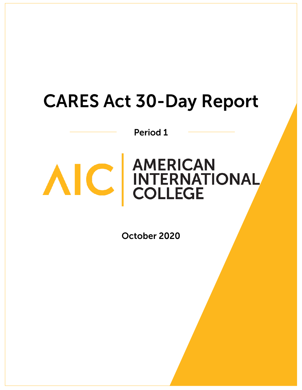# **CARES Act 30-Day Report**

Period 1



# AIC AMERICAN<br>COLLEGE

October 2020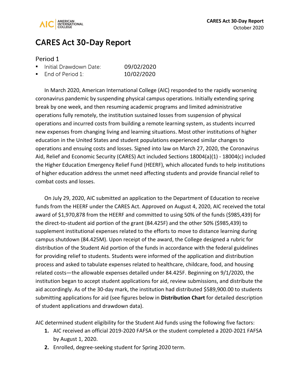

## **CARES Act 30-Day Report**

#### Period 1

| Initial Drawdown Date: | 09/02/2020 |
|------------------------|------------|
|                        |            |

. End of Period 1: 10/02/2020

In March 2020, American International College (AIC) responded to the rapidly worsening coronavirus pandemic by suspending physical campus operations. Initially extending spring break by one week, and then resuming academic programs and limited administrative operations fully remotely, the institution sustained losses from suspension of physical operations and incurred costs from building a remote learning system, as students incurred new expenses from changing living and learning situations. Most other institutions of higher education in the United States and student populations experienced similar changes to operations and ensuing costs and losses. Signed into law on March 27, 2020, the Coronavirus Aid, Relief and Economic Security (CARES) Act included Sections 18004(a)(1) - 18004(c) included the Higher Education Emergency Relief Fund (HEERF), which allocated funds to help institutions of higher education address the unmet need affecting students and provide financial relief to combat costs and losses.

On July 29, 2020, AIC submitted an application to the Department of Education to receive funds from the HEERF under the CARES Act. Approved on August 4, 2020, AIC received the total award of \$1,970,878 from the HEERF and committed to using 50% of the funds (\$985,439) for the direct-to-student aid portion of the grant (84.425F) and the other 50% (\$985,439) to supplement institutional expenses related to the efforts to move to distance learning during campus shutdown (84.425M). Upon receipt of the award, the College designed a rubric for distribution of the Student Aid portion of the funds in accordance with the federal guidelines for providing relief to students. Students were informed of the application and distribution process and asked to tabulate expenses related to healthcare, childcare, food, and housing related costs—the allowable expenses detailed under 84.425F. Beginning on 9/1/2020, the institution began to accept student applications for aid, review submissions, and distribute the aid accordingly. As of the 30-day mark, the institution had distributed \$589,900.00 to students submitting applications for aid (see figures below in **Distribution Chart** for detailed description of student applications and drawdown data).

AIC determined student eligibility for the Student Aid funds using the following five factors:

- **1.** AIC received an official 2019-2020 FAFSA or the student completed a 2020-2021 FAFSA by August 1, 2020.
- **2.** Enrolled, degree-seeking student for Spring 2020 term.